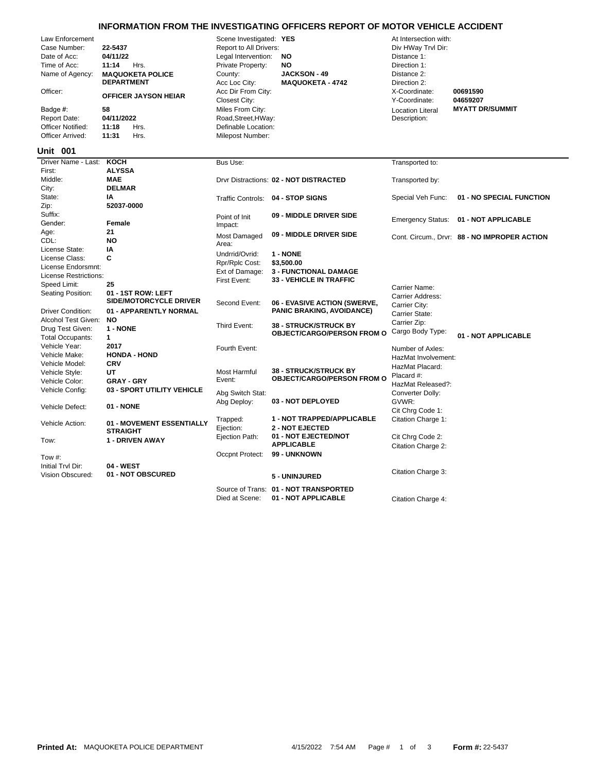## **INFORMATION FROM THE INVESTIGATING OFFICERS REPORT OF MOTOR VEHICLE ACCIDENT**

| Law Enforcement<br>Case Number:<br>Date of Acc:<br>Time of Acc:<br>Name of Agency:<br>Officer:<br>Badge #:<br><b>Report Date:</b><br><b>Officer Notified:</b><br>Officer Arrived: | 22-5437<br>04/11/22<br>11:14<br>Hrs.<br><b>MAQUOKETA POLICE</b><br><b>DEPARTMENT</b><br><b>OFFICER JAYSON HEIAR</b><br>58<br>04/11/2022<br>Hrs.<br>11:18<br>11:31<br>Hrs. | Scene Investigated: YES<br>Report to All Drivers:<br>Legal Intervention:<br>Private Property:<br>County:<br>Acc Loc City:<br>Acc Dir From City:<br>Closest City:<br>Miles From City:<br>Road, Street, HWay:<br>Definable Location:<br>Milepost Number: | <b>NO</b><br>NO<br><b>JACKSON - 49</b><br><b>MAQUOKETA - 4742</b> | At Intersection with:<br>Div HWay Trvl Dir:<br>Distance 1:<br>Direction 1:<br>Distance 2:<br>Direction 2:<br>X-Coordinate:<br>Y-Coordinate:<br><b>Location Literal</b><br>Description: | 00691590<br>04659207<br><b>MYATT DR/SUMMIT</b> |
|-----------------------------------------------------------------------------------------------------------------------------------------------------------------------------------|---------------------------------------------------------------------------------------------------------------------------------------------------------------------------|--------------------------------------------------------------------------------------------------------------------------------------------------------------------------------------------------------------------------------------------------------|-------------------------------------------------------------------|----------------------------------------------------------------------------------------------------------------------------------------------------------------------------------------|------------------------------------------------|
| <b>Unit 001</b>                                                                                                                                                                   |                                                                                                                                                                           |                                                                                                                                                                                                                                                        |                                                                   |                                                                                                                                                                                        |                                                |
| Driver Name - Last:                                                                                                                                                               | <b>KOCH</b>                                                                                                                                                               | Bus Use:                                                                                                                                                                                                                                               |                                                                   | Transported to:                                                                                                                                                                        |                                                |
| First:<br>Middle:                                                                                                                                                                 | <b>ALYSSA</b><br><b>MAE</b>                                                                                                                                               |                                                                                                                                                                                                                                                        | Drvr Distractions: 02 - NOT DISTRACTED                            | Transported by:                                                                                                                                                                        |                                                |
| City:                                                                                                                                                                             | <b>DELMAR</b>                                                                                                                                                             |                                                                                                                                                                                                                                                        |                                                                   |                                                                                                                                                                                        |                                                |
| State:                                                                                                                                                                            | IA                                                                                                                                                                        |                                                                                                                                                                                                                                                        | Traffic Controls: 04 - STOP SIGNS                                 | Special Veh Func:                                                                                                                                                                      | 01 - NO SPECIAL FUNCTION                       |
| Zip:                                                                                                                                                                              | 52037-0000                                                                                                                                                                |                                                                                                                                                                                                                                                        |                                                                   |                                                                                                                                                                                        |                                                |
| Suffix:                                                                                                                                                                           |                                                                                                                                                                           | Point of Init                                                                                                                                                                                                                                          | 09 - MIDDLE DRIVER SIDE                                           | <b>Emergency Status:</b>                                                                                                                                                               | 01 - NOT APPLICABLE                            |
| Gender:                                                                                                                                                                           | <b>Female</b>                                                                                                                                                             | Impact:                                                                                                                                                                                                                                                |                                                                   |                                                                                                                                                                                        |                                                |
| Age:                                                                                                                                                                              | 21                                                                                                                                                                        | Most Damaged                                                                                                                                                                                                                                           | 09 - MIDDLE DRIVER SIDE                                           |                                                                                                                                                                                        | Cont. Circum., Drvr: 88 - NO IMPROPER ACTION   |
| CDL:                                                                                                                                                                              | <b>NO</b>                                                                                                                                                                 | Area:                                                                                                                                                                                                                                                  |                                                                   |                                                                                                                                                                                        |                                                |
| License State:<br>License Class:                                                                                                                                                  | IA<br>C                                                                                                                                                                   | Undrrid/Ovrid:                                                                                                                                                                                                                                         | 1 - NONE                                                          |                                                                                                                                                                                        |                                                |
| License Endorsmnt:                                                                                                                                                                |                                                                                                                                                                           | Rpr/Rplc Cost:                                                                                                                                                                                                                                         | \$3,500.00                                                        |                                                                                                                                                                                        |                                                |
| License Restrictions:                                                                                                                                                             |                                                                                                                                                                           | Ext of Damage:                                                                                                                                                                                                                                         | <b>3 - FUNCTIONAL DAMAGE</b>                                      |                                                                                                                                                                                        |                                                |
| Speed Limit:                                                                                                                                                                      | 25                                                                                                                                                                        | First Event:                                                                                                                                                                                                                                           | 33 - VEHICLE IN TRAFFIC                                           |                                                                                                                                                                                        |                                                |
| Seating Position:                                                                                                                                                                 | 01 - 1ST ROW: LEFT                                                                                                                                                        |                                                                                                                                                                                                                                                        |                                                                   | Carrier Name:<br>Carrier Address:                                                                                                                                                      |                                                |
|                                                                                                                                                                                   | <b>SIDE/MOTORCYCLE DRIVER</b>                                                                                                                                             | Second Event:                                                                                                                                                                                                                                          | 06 - EVASIVE ACTION (SWERVE,                                      | Carrier City:                                                                                                                                                                          |                                                |
| <b>Driver Condition:</b>                                                                                                                                                          | 01 - APPARENTLY NORMAL                                                                                                                                                    |                                                                                                                                                                                                                                                        | <b>PANIC BRAKING, AVOIDANCE)</b>                                  | Carrier State:                                                                                                                                                                         |                                                |
| Alcohol Test Given:                                                                                                                                                               | <b>NO</b>                                                                                                                                                                 |                                                                                                                                                                                                                                                        | <b>38 - STRUCK/STRUCK BY</b>                                      | Carrier Zip:                                                                                                                                                                           |                                                |
| Drug Test Given:                                                                                                                                                                  | 1 - NONE                                                                                                                                                                  | Third Event:                                                                                                                                                                                                                                           | <b>OBJECT/CARGO/PERSON FROM O</b>                                 | Cargo Body Type:                                                                                                                                                                       |                                                |
| <b>Total Occupants:</b>                                                                                                                                                           | $\mathbf{1}$                                                                                                                                                              |                                                                                                                                                                                                                                                        |                                                                   |                                                                                                                                                                                        | 01 - NOT APPLICABLE                            |
| Vehicle Year:                                                                                                                                                                     | 2017                                                                                                                                                                      | Fourth Event:                                                                                                                                                                                                                                          |                                                                   | Number of Axles:                                                                                                                                                                       |                                                |
| Vehicle Make:                                                                                                                                                                     | <b>HONDA - HOND</b>                                                                                                                                                       |                                                                                                                                                                                                                                                        |                                                                   | HazMat Involvement:                                                                                                                                                                    |                                                |
| Vehicle Model:<br>Vehicle Style:                                                                                                                                                  | <b>CRV</b><br>UT                                                                                                                                                          | <b>Most Harmful</b>                                                                                                                                                                                                                                    | <b>38 - STRUCK/STRUCK BY</b>                                      | HazMat Placard:                                                                                                                                                                        |                                                |
| Vehicle Color:                                                                                                                                                                    | <b>GRAY - GRY</b>                                                                                                                                                         | Event:                                                                                                                                                                                                                                                 | <b>OBJECT/CARGO/PERSON FROM O</b>                                 | Placard #:                                                                                                                                                                             |                                                |
| Vehicle Config:                                                                                                                                                                   | 03 - SPORT UTILITY VEHICLE                                                                                                                                                |                                                                                                                                                                                                                                                        |                                                                   | HazMat Released?:                                                                                                                                                                      |                                                |
|                                                                                                                                                                                   |                                                                                                                                                                           | Abg Switch Stat:                                                                                                                                                                                                                                       |                                                                   | Converter Dolly:                                                                                                                                                                       |                                                |
| Vehicle Defect:                                                                                                                                                                   | 01 - NONE                                                                                                                                                                 | Abg Deploy:                                                                                                                                                                                                                                            | 03 - NOT DEPLOYED                                                 | GVWR:<br>Cit Chrg Code 1:                                                                                                                                                              |                                                |
|                                                                                                                                                                                   |                                                                                                                                                                           | Trapped:                                                                                                                                                                                                                                               | 1 - NOT TRAPPED/APPLICABLE                                        | Citation Charge 1:                                                                                                                                                                     |                                                |
| Vehicle Action:                                                                                                                                                                   | 01 - MOVEMENT ESSENTIALLY                                                                                                                                                 | Ejection:                                                                                                                                                                                                                                              | <b>2 - NOT EJECTED</b>                                            |                                                                                                                                                                                        |                                                |
|                                                                                                                                                                                   | <b>STRAIGHT</b>                                                                                                                                                           | Ejection Path:                                                                                                                                                                                                                                         | 01 - NOT EJECTED/NOT                                              | Cit Chrg Code 2:                                                                                                                                                                       |                                                |
| Tow:                                                                                                                                                                              | <b>1 - DRIVEN AWAY</b>                                                                                                                                                    |                                                                                                                                                                                                                                                        | <b>APPLICABLE</b>                                                 | Citation Charge 2:                                                                                                                                                                     |                                                |
| Tow #:                                                                                                                                                                            |                                                                                                                                                                           | Occpnt Protect:                                                                                                                                                                                                                                        | 99 - UNKNOWN                                                      |                                                                                                                                                                                        |                                                |
| Initial Trvl Dir:                                                                                                                                                                 | 04 - WEST                                                                                                                                                                 |                                                                                                                                                                                                                                                        |                                                                   |                                                                                                                                                                                        |                                                |
| Vision Obscured:                                                                                                                                                                  | 01 - NOT OBSCURED                                                                                                                                                         |                                                                                                                                                                                                                                                        | 5 - UNINJURED                                                     | Citation Charge 3:                                                                                                                                                                     |                                                |
|                                                                                                                                                                                   |                                                                                                                                                                           |                                                                                                                                                                                                                                                        |                                                                   |                                                                                                                                                                                        |                                                |
|                                                                                                                                                                                   |                                                                                                                                                                           |                                                                                                                                                                                                                                                        | Source of Trans: 01 - NOT TRANSPORTED                             |                                                                                                                                                                                        |                                                |

Died at Scene: **01 - NOT APPLICABLE** Citation Charge 4: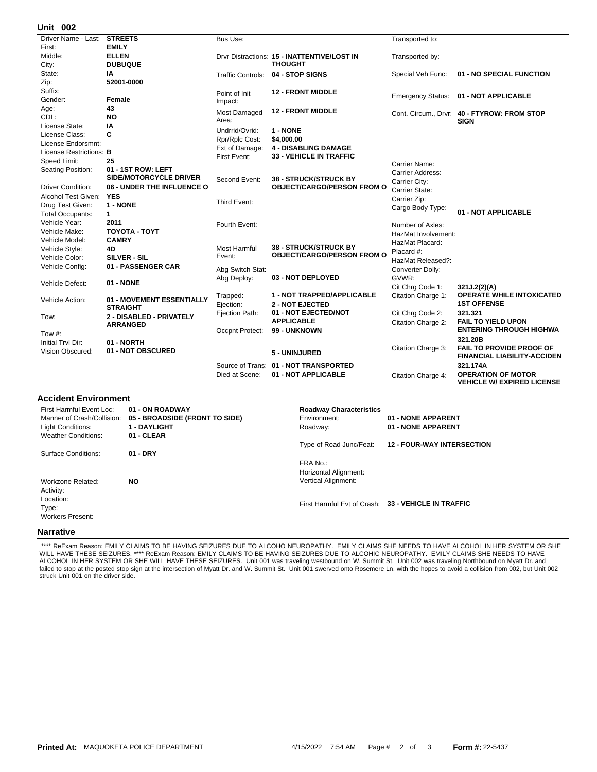## **002 Unit**

| אט וווי                        |                                              |                                |                                             |                          |                                                            |
|--------------------------------|----------------------------------------------|--------------------------------|---------------------------------------------|--------------------------|------------------------------------------------------------|
| Driver Name - Last:            | <b>STREETS</b>                               | Bus Use:                       |                                             | Transported to:          |                                                            |
| First:                         | <b>EMILY</b>                                 |                                |                                             |                          |                                                            |
| Middle:                        | <b>ELLEN</b>                                 |                                | Drvr Distractions: 15 - INATTENTIVE/LOST IN | Transported by:          |                                                            |
| City:                          | <b>DUBUQUE</b>                               |                                | <b>THOUGHT</b>                              |                          |                                                            |
| State:                         | ΙA                                           | <b>Traffic Controls:</b>       | <b>04 - STOP SIGNS</b>                      | Special Veh Func:        | 01 - NO SPECIAL FUNCTION                                   |
| Zip:                           | 52001-0000                                   |                                |                                             |                          |                                                            |
| Suffix:                        |                                              | Point of Init                  | <b>12 - FRONT MIDDLE</b>                    |                          |                                                            |
| Gender:                        | Female                                       | Impact:                        |                                             | <b>Emergency Status:</b> | 01 - NOT APPLICABLE                                        |
| Age:                           | 43                                           | Most Damaged                   | <b>12 - FRONT MIDDLE</b>                    |                          |                                                            |
| CDL:                           | <b>NO</b>                                    | Area:                          |                                             |                          | Cont. Circum., Drvr: 40 - FTYROW: FROM STOP<br><b>SIGN</b> |
| License State:                 | IA                                           | Undrrid/Ovrid:                 | 1 - NONE                                    |                          |                                                            |
| License Class:                 | C                                            |                                |                                             |                          |                                                            |
| License Endorsmnt:             |                                              | Rpr/Rplc Cost:                 | \$4,000.00<br><b>4 - DISABLING DAMAGE</b>   |                          |                                                            |
| License Restrictions: <b>B</b> |                                              | Ext of Damage:<br>First Event: | <b>33 - VEHICLE IN TRAFFIC</b>              |                          |                                                            |
| Speed Limit:                   | 25                                           |                                |                                             | Carrier Name:            |                                                            |
| Seating Position:              | 01 - 1ST ROW: LEFT                           |                                |                                             | Carrier Address:         |                                                            |
|                                | SIDE/MOTORCYCLE DRIVER                       | Second Event:                  | <b>38 - STRUCK/STRUCK BY</b>                | Carrier City:            |                                                            |
| <b>Driver Condition:</b>       | 06 - UNDER THE INFLUENCE O                   |                                | <b>OBJECT/CARGO/PERSON FROM O</b>           | Carrier State:           |                                                            |
| Alcohol Test Given:            | <b>YES</b>                                   |                                |                                             | Carrier Zip:             |                                                            |
| Drug Test Given:               | 1 - NONE                                     | Third Event:                   |                                             | Cargo Body Type:         |                                                            |
| <b>Total Occupants:</b>        | $\mathbf{1}$                                 |                                |                                             |                          | 01 - NOT APPLICABLE                                        |
| Vehicle Year:                  | 2011                                         | Fourth Event:                  |                                             | Number of Axles:         |                                                            |
| Vehicle Make:                  | ΤΟΥΟΤΑ - ΤΟΥΤ                                |                                |                                             | HazMat Involvement:      |                                                            |
| Vehicle Model:                 | <b>CAMRY</b>                                 |                                |                                             | HazMat Placard:          |                                                            |
| Vehicle Style:                 | 4D                                           | <b>Most Harmful</b>            | <b>38 - STRUCK/STRUCK BY</b>                | Placard #:               |                                                            |
| Vehicle Color:                 | SILVER - SIL                                 | Event:                         | <b>OBJECT/CARGO/PERSON FROM O</b>           | HazMat Released?:        |                                                            |
| Vehicle Config:                | 01 - PASSENGER CAR                           | Abg Switch Stat:               |                                             | Converter Dolly:         |                                                            |
|                                |                                              | Abg Deploy:                    | 03 - NOT DEPLOYED                           | GVWR:                    |                                                            |
| Vehicle Defect:                | 01 - NONE                                    |                                |                                             | Cit Chrg Code 1:         | 321J.2(2)(A)                                               |
|                                |                                              | Trapped:                       | <b>1 - NOT TRAPPED/APPLICABLE</b>           | Citation Charge 1:       | <b>OPERATE WHILE INTOXICATED</b>                           |
| Vehicle Action:                | 01 - MOVEMENT ESSENTIALLY<br><b>STRAIGHT</b> | Ejection:                      | <b>2 - NOT EJECTED</b>                      |                          | <b>1ST OFFENSE</b>                                         |
|                                | 2 - DISABLED - PRIVATELY                     | Ejection Path:                 | 01 - NOT EJECTED/NOT                        | Cit Chrg Code 2:         | 321.321                                                    |
| Tow:                           | <b>ARRANGED</b>                              |                                | <b>APPLICABLE</b>                           | Citation Charge 2:       | <b>FAIL TO YIELD UPON</b>                                  |
| Tow #:                         |                                              | Occpnt Protect:                | 99 - UNKNOWN                                |                          | <b>ENTERING THROUGH HIGHWA</b>                             |
| Initial Tryl Dir:              | 01 - NORTH                                   |                                |                                             |                          | 321.20B                                                    |
| Vision Obscured:               | 01 - NOT OBSCURED                            |                                |                                             | Citation Charge 3:       | <b>FAIL TO PROVIDE PROOF OF</b>                            |
|                                |                                              |                                | 5 - UNINJURED                               |                          | <b>FINANCIAL LIABILITY-ACCIDEN</b>                         |
|                                |                                              |                                | Source of Trans: 01 - NOT TRANSPORTED       |                          | 321.174A                                                   |
|                                |                                              | Died at Scene:                 | 01 - NOT APPLICABLE                         | Citation Charge 4:       | <b>OPERATION OF MOTOR</b>                                  |
|                                |                                              |                                |                                             |                          | <b>VEHICLE W/ EXPIRED LICENSE</b>                          |

## **Accident Environment**

| First Harmful Event Loc:   | 01 - ON ROADWAY                | <b>Roadway Characteristics</b> |                                                     |  |
|----------------------------|--------------------------------|--------------------------------|-----------------------------------------------------|--|
| Manner of Crash/Collision: | 05 - BROADSIDE (FRONT TO SIDE) | Environment:                   | 01 - NONE APPARENT                                  |  |
| Light Conditions:          | <b>1 - DAYLIGHT</b>            | Roadway:                       | 01 - NONE APPARENT                                  |  |
| <b>Weather Conditions:</b> | 01 - CLEAR                     |                                |                                                     |  |
|                            |                                | Type of Road Junc/Feat:        | <b>12 - FOUR-WAY INTERSECTION</b>                   |  |
| Surface Conditions:        | $01 - DRY$                     |                                |                                                     |  |
|                            |                                | FRA No.:                       |                                                     |  |
|                            |                                | Horizontal Alignment:          |                                                     |  |
| Workzone Related:          | <b>NO</b>                      | Vertical Alignment:            |                                                     |  |
| Activity:                  |                                |                                |                                                     |  |
| Location:                  |                                |                                |                                                     |  |
| Type:                      |                                |                                | First Harmful Evt of Crash: 33 - VEHICLE IN TRAFFIC |  |
| <b>Workers Present:</b>    |                                |                                |                                                     |  |
| <b>Narrative</b>           |                                |                                |                                                     |  |

\*\*\*\* ReExam Reason: EMILY CLAIMS TO BE HAVING SEIZURES DUE TO ALCOHO NEUROPATHY. EMILY CLAIMS SHE NEEDS TO HAVE ALCOHOL IN HER SYSTEM OR SHE WILL HAVE THESE SEIZURES. \*\*\*\* ReExam Reason: EMILY CLAIMS TO BE HAVING SEIZURES DUE TO ALCOHIC NEUROPATHY. EMILY CLAIMS SHE NEEDS TO HAVE ALCOHOL IN HER SYSTEM OR SHE WILL HAVE THESE SEIZURES. Unit 001 was traveling westbound on W. Summit St. Unit 002 was traveling Northbound on Myatt Dr. and failed to stop at the posted stop sign at the intersection of Myatt Dr. and W. Summit St. Unit 001 swerved onto Rosemere Ln. with the hopes to avoid a collision from 002, but Unit 002 struck Unit 001 on the driver side.